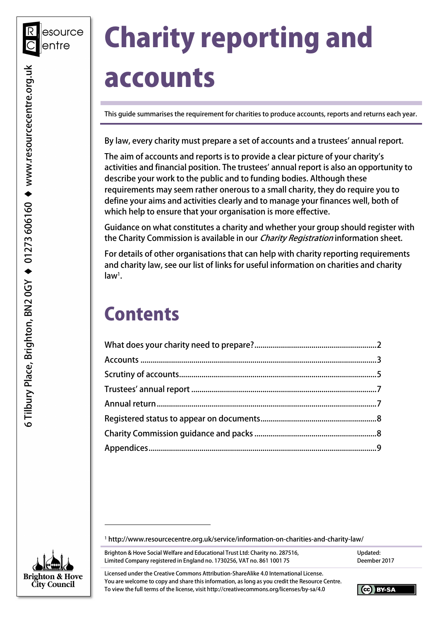# Charity reporting and accounts

This guide summarises the requirement for charities to produce accounts, reports and returns each year.

By law, every charity must prepare a set of accounts and a trustees' annual report.

 The aim of accounts and reports is to provide a clear picture of your charity's activities and financial position. The trustees' annual report is also an opportunity to describe your work to the public and to funding bodies. Although these requirements may seem rather onerous to a small charity, they do require you to define your aims and activities clearly and to manage your finances well, both of which help to ensure that your organisation is more effective.

 Guidance on what constitutes a charity and whether your group should register with the Charity Commission is available in our *Charity Registration* information sheet.

 For details of other organisations that can help with charity reporting requirements and charity law, see our list of links for useful information on charities and charity  $law<sup>1</sup>$ .

### **Contents**

<sup>1</sup> [http://www.resourcecentre.org.uk/service/information-on-charities-and-charity-law/](http://www.resourcecentre.org.uk/service/information-on-charities-and-charity-law)

Brighton & Hove Social Welfare and Educational Trust Ltd: Charity no. 287516, Natural Multial Updated: Limited Company registered in England no. 1730256, VAT no. 861 1001 75 Deember 2017

Updated: Deember 2017

 Licensed under the Creative Commons Attribution-ShareAlike 4.0 International License. You are welcome to copy and share this information, as long as you credit the Resource Centre. To view the full terms of the license, visit <http://creativecommons.org/licenses/by-sa/4.0>



-

CC BY-SA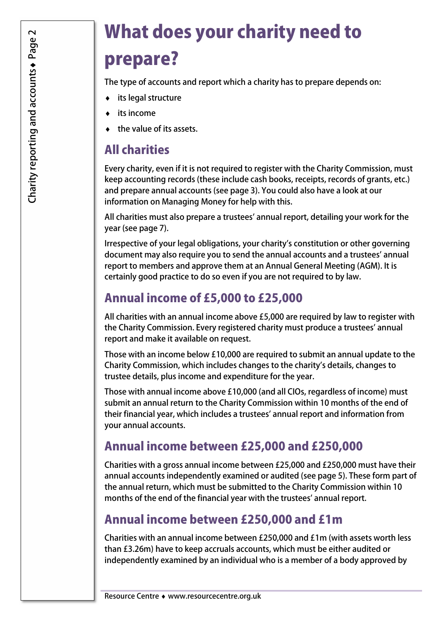# What does your charity need to prepare?

The type of accounts and report which a charity has to prepare depends on:

- ♦ its legal structure
- ♦ its income
- ♦ the value of its assets.

#### All charities

 Every charity, even if it is not required to register with the Charity Commission, must keep accounting records (these include cash books, receipts, records of grants, etc.) and prepare annual accounts (see page 3). You could also have a look at our information on Managing Money for help with this.

 All charities must also prepare a trustees' annual report, detailing your work for the year (see page 7).

 Irrespective of your legal obligations, your charity's constitution or other governing document may also require you to send the annual accounts and a trustees' annual report to members and approve them at an Annual General Meeting (AGM). It is certainly good practice to do so even if you are not required to by law.

#### Annual income of £5,000 to £25,000

 All charities with an annual income above £5,000 are required by law to register with the Charity Commission. Every registered charity must produce a trustees' annual report and make it available on request.

 Those with an income below £10,000 are required to submit an annual update to the Charity Commission, which includes changes to the charity's details, changes to trustee details, plus income and expenditure for the year.

 Those with annual income above £10,000 (and all CIOs, regardless of income) must submit an annual return to the Charity Commission within 10 months of the end of their financial year, which includes a trustees' annual report and information from your annual accounts.

#### Annual income between £25,000 and £250,000

 Charities with a gross annual income between £25,000 and £250,000 must have their annual accounts independently examined or audited (see page 5). These form part of the annual return, which must be submitted to the Charity Commission within 10 months of the end of the financial year with the trustees' annual report.

#### Annual income between £250,000 and £1m

 Charities with an annual income between £250,000 and £1m (with assets worth less than £3.26m) have to keep accruals accounts, which must be either audited or independently examined by an individual who is a member of a body approved by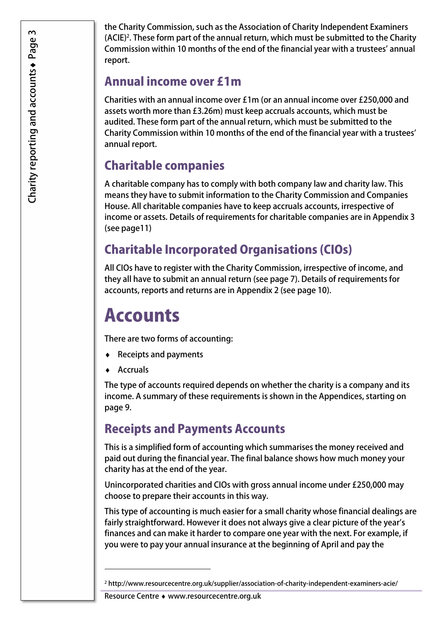the Charity Commission, such as the Association of Charity Independent Examiners (ACIE)<sup>2</sup>. These form part of the annual return, which must be submitted to the Charity Commission within 10 months of the end of the financial year with a trustees' annual report.

#### Annual income over £1m

 Charities with an annual income over £1m (or an annual income over £250,000 and assets worth more than £3.26m) must keep accruals accounts, which must be audited. These form part of the annual return, which must be submitted to the Charity Commission within 10 months of the end of the financial year with a trustees' annual report.

### Charitable companies

 A charitable company has to comply with both company law and charity law. This means they have to submit information to the Charity Commission and Companies House. All charitable companies have to keep accruals accounts, irrespective of income or assets. Details of requirements for charitable companies are in Appendix 3 (see page11)

### Charitable Incorporated Organisations (CIOs)

 All CIOs have to register with the Charity Commission, irrespective of income, and they all have to submit an annual return (see page 7). Details of requirements for accounts, reports and returns are in Appendix 2 (see page 10).

## Accounts

There are two forms of accounting:

- ♦ Receipts and payments
- ♦ Accruals

1

 The type of accounts required depends on whether the charity is a company and its income. A summary of these requirements is shown in the Appendices, starting on page 9.

### Receipts and Payments Accounts

 This is a simplified form of accounting which summarises the money received and paid out during the financial year. The final balance shows how much money your charity has at the end of the year.

 Unincorporated charities and CIOs with gross annual income under £250,000 may choose to prepare their accounts in this way.

 This type of accounting is much easier for a small charity whose financial dealings are fairly straightforward. However it does not always give a clear picture of the year's finances and can make it harder to compare one year with the next. For example, if you were to pay your annual insurance at the beginning of April and pay the

Resource Centre ♦ <www.resourcecentre.org.uk>

<sup>2</sup> <http://www.resourcecentre.org.uk/supplier/association-of-charity-independent-examiners-acie>/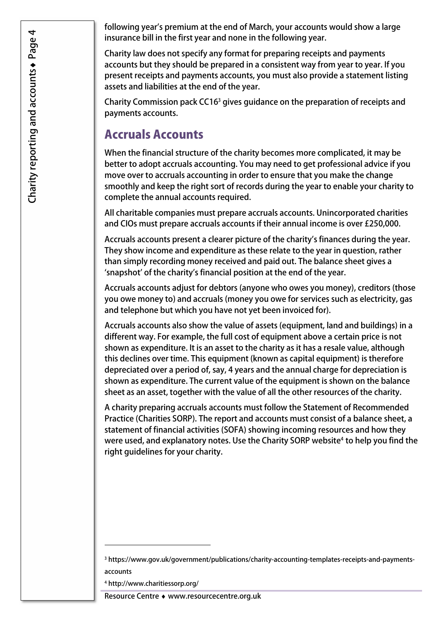following year's premium at the end of March, your accounts would show a large insurance bill in the first year and none in the following year.

 Charity law does not specify any format for preparing receipts and payments accounts but they should be prepared in a consistent way from year to year. If you present receipts and payments accounts, you must also provide a statement listing assets and liabilities at the end of the year.

Charity Commission pack CC16<sup>3</sup> gives guidance on the preparation of receipts and payments accounts.

#### Accruals Accounts

 When the financial structure of the charity becomes more complicated, it may be better to adopt accruals accounting. You may need to get professional advice if you move over to accruals accounting in order to ensure that you make the change smoothly and keep the right sort of records during the year to enable your charity to complete the annual accounts required.

 All charitable companies must prepare accruals accounts. Unincorporated charities and CIOs must prepare accruals accounts if their annual income is over £250,000.

 Accruals accounts present a clearer picture of the charity's finances during the year. They show income and expenditure as these relate to the year in question, rather than simply recording money received and paid out. The balance sheet gives a 'snapshot' of the charity's financial position at the end of the year.

 Accruals accounts adjust for debtors (anyone who owes you money), creditors (those you owe money to) and accruals (money you owe for services such as electricity, gas and telephone but which you have not yet been invoiced for).

 Accruals accounts also show the value of assets (equipment, land and buildings) in a different way. For example, the full cost of equipment above a certain price is not shown as expenditure. It is an asset to the charity as it has a resale value, although this declines over time. This equipment (known as capital equipment) is therefore depreciated over a period of, say, 4 years and the annual charge for depreciation is shown as expenditure. The current value of the equipment is shown on the balance sheet as an asset, together with the value of all the other resources of the charity.

 A charity preparing accruals accounts must follow the Statement of Recommended Practice (Charities SORP). The report and accounts must consist of a balance sheet, a statement of financial activities (SOFA) showing incoming resources and how they were used, and explanatory notes. Use the Charity SORP website<sup>4</sup> to help you find the right guidelines for your charity.

1

<sup>3</sup> <https://www.gov.uk/government/publications/charity-accounting-templates-receipts-and-payments>accounts

<sup>4</sup> <http://www.charitiessorp.org>/

 Resource Centre ♦ <www.resourcecentre.org.uk>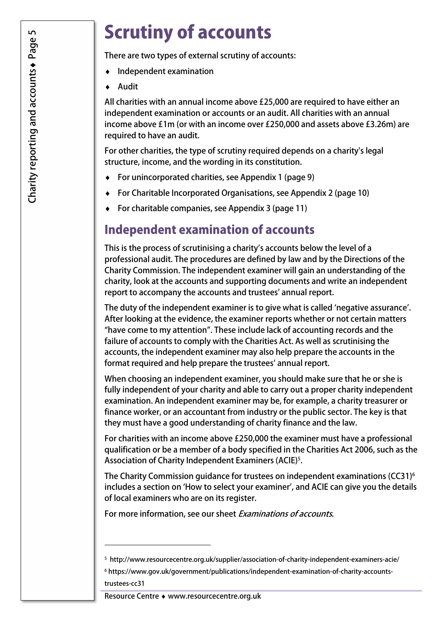# Scrutiny of accounts

There are two types of external scrutiny of accounts:

- Independent examination
- **Audit**

 All charities with an annual income above £25,000 are required to have either an independent examination or accounts or an audit. All charities with an annual income above £1m (or with an income over £250,000 and assets above £3.26m) are required to have an audit.

 For other charities, the type of scrutiny required depends on a charity's legal structure, income, and the wording in its constitution.

- ♦ For unincorporated charities, see Appendix 1 (page 9)
- ♦ For Charitable Incorporated Organisations, see Appendix 2 (page 10)
- ♦ For charitable companies, see Appendix 3 (page 11)

#### Independent examination of accounts

 This is the process of scrutinising a charity's accounts below the level of a professional audit. The procedures are defined by law and by the Directions of the Charity Commission. The independent examiner will gain an understanding of the charity, look at the accounts and supporting documents and write an independent report to accompany the accounts and trustees' annual report.

 The duty of the independent examiner is to give what is called 'negative assurance'. After looking at the evidence, the examiner reports whether or not certain matters "have come to my attention". These include lack of accounting records and the failure of accounts to comply with the Charities Act. As well as scrutinising the accounts, the independent examiner may also help prepare the accounts in the format required and help prepare the trustees' annual report.

 When choosing an independent examiner, you should make sure that he or she is fully independent of your charity and able to carry out a proper charity independent examination. An independent examiner may be, for example, a charity treasurer or finance worker, or an accountant from industry or the public sector. The key is that they must have a good understanding of charity finance and the law.

 For charities with an income above £250,000 the examiner must have a professional qualification or be a member of a body specified in the Charities Act 2006, such as the Association of Charity Independent Examiners (ACIE)<sup>5</sup>.

The Charity Commission guidance for trustees on independent examinations (CC31) $^6$  includes a section on 'How to select your examiner', and ACIE can give you the details of local examiners who are on its register.

For more information, see our sheet *Examinations of accounts*.

<sup>6</sup> <https://www.gov.uk/government/publications/independent-examination-of-charity-accounts>trustees-cc31

1

 <sup>5</sup> <http://www.resourcecentre.org.uk/supplier/association-of-charity-independent-examiners-acie>/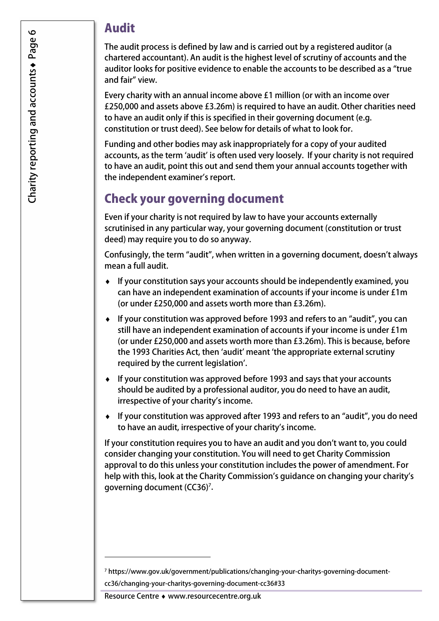#### Audit

 The audit process is defined by law and is carried out by a registered auditor (a chartered accountant). An audit is the highest level of scrutiny of accounts and the auditor looks for positive evidence to enable the accounts to be described as a "true and fair" view.

 Every charity with an annual income above £1 million (or with an income over £250,000 and assets above £3.26m) is required to have an audit. Other charities need to have an audit only if this is specified in their governing document (e.g. constitution or trust deed). See below for details of what to look for.

 Funding and other bodies may ask inappropriately for a copy of your audited accounts, as the term 'audit' is often used very loosely. If your charity is not required to have an audit, point this out and send them your annual accounts together with the independent examiner's report.

#### Check your governing document

 Even if your charity is not required by law to have your accounts externally scrutinised in any particular way, your governing document (constitution or trust deed) may require you to do so anyway.

 Confusingly, the term "audit", when written in a governing document, doesn't always mean a full audit.

- ♦ If your constitution says your accounts should be independently examined, you can have an independent examination of accounts if your income is under £1m (or under £250,000 and assets worth more than £3.26m).
- ♦ If your constitution was approved before 1993 and refers to an "audit", you can still have an independent examination of accounts if your income is under £1m (or under £250,000 and assets worth more than £3.26m). This is because, before the 1993 Charities Act, then 'audit' meant 'the appropriate external scrutiny required by the current legislation'.
- ♦ If your constitution was approved before 1993 and says that your accounts should be audited by a professional auditor, you do need to have an audit, irrespective of your charity's income.
- ♦ If your constitution was approved after 1993 and refers to an "audit", you do need to have an audit, irrespective of your charity's income.

 If your constitution requires you to have an audit and you don't want to, you could consider changing your constitution. You will need to get Charity Commission approval to do this unless your constitution includes the power of amendment. For help with this, look at the Charity Commission's guidance on changing your charity's governing document (CC36)<sup>7</sup>.

Resource Centre ♦ <www.resourcecentre.org.uk>

1

<sup>7</sup> <https://www.gov.uk/government/publications/changing-your-charitys-governing-document>cc36/changing-your-charitys-governing-document-cc36#33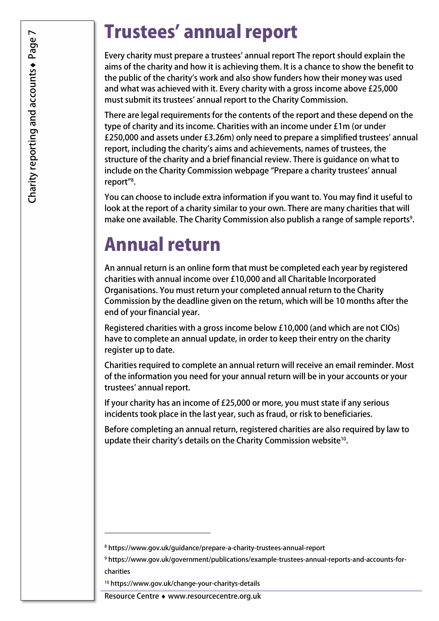## Trustees' annual report

 Every charity must prepare a trustees' annual report The report should explain the aims of the charity and how it is achieving them. It is a chance to show the benefit to the public of the charity's work and also show funders how their money was used and what was achieved with it. Every charity with a gross income above £25,000 must submit its trustees' annual report to the Charity Commission.

 There are legal requirements for the contents of the report and these depend on the type of charity and its income. Charities with an income under £1m (or under £250,000 and assets under £3.26m) only need to prepare a simplified trustees' annual report, including the charity's aims and achievements, names of trustees, the structure of the charity and a brief financial review. There is guidance on what to include on the Charity Commission webpage "Prepare a charity trustees' annual report"8 .

 You can choose to include extra information if you want to. You may find it useful to look at the report of a charity similar to your own. There are many charities that will make one available. The Charity Commission also publish a range of sample reports<sup>9</sup>.

### Annual return

 An annual return is an online form that must be completed each year by registered charities with annual income over £10,000 and all Charitable Incorporated Organisations. You must return your completed annual return to the Charity Commission by the deadline given on the return, which will be 10 months after the end of your financial year.

 Registered charities with a gross income below £10,000 (and which are not CIOs) have to complete an annual update, in order to keep their entry on the charity register up to date.

 Charities required to complete an annual return will receive an email reminder. Most of the information you need for your annual return will be in your accounts or your trustees' annual report.

 If your charity has an income of £25,000 or more, you must state if any serious incidents took place in the last year, such as fraud, or risk to beneficiaries.

 Before completing an annual return, registered charities are also required by law to update their charity's details on the Charity Commission website $^{10}$ .

<sup>-</sup>

<sup>8</sup> <https://www.gov.uk/guidance/prepare-a-charity-trustees-annual-report>

<sup>9</sup> <https://www.gov.uk/government/publications/example-trustees-annual-reports-and-accounts-for>-

charities

<sup>10</sup> <https://www.gov.uk/change-your-charitys-details>

 Resource Centre ♦ <www.resourcecentre.org.uk>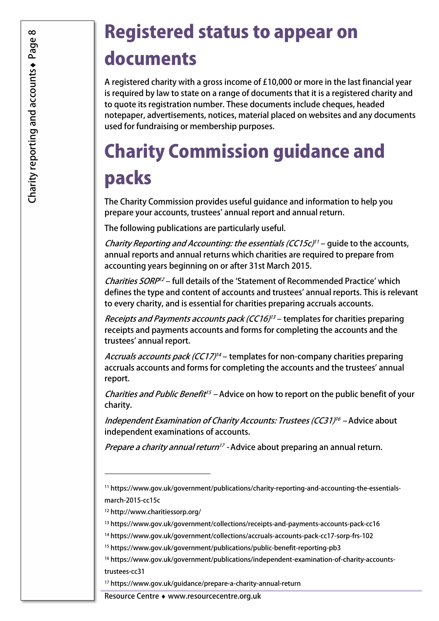# Registered status to appear on documents

 A registered charity with a gross income of £10,000 or more in the last financial year is required by law to state on a range of documents that it is a registered charity and to quote its registration number. These documents include cheques, headed notepaper, advertisements, notices, material placed on websites and any documents used for fundraising or membership purposes.

# Charity Commission guidance and packs

 The Charity Commission provides useful guidance and information to help you prepare your accounts, trustees' annual report and annual return.

The following publications are particularly useful.

*Charity Reporting and Accounting: the essentials (CC15c)<sup>11</sup> – guide to the accounts,*  annual reports and annual returns which charities are required to prepare from accounting years beginning on or after 31st March 2015.

Charities SORP<sup>12</sup> – full details of the 'Statement of Recommended Practice' which defines the type and content of accounts and trustees' annual reports. This is relevant to every charity, and is essential for charities preparing accruals accounts.

*Receipts and Payments accounts pack (CC16)<sup>13</sup> –* templates for charities preparing receipts and payments accounts and forms for completing the accounts and the trustees' annual report.

*Accruals accounts pack (CC17)<sup>14</sup> –* templates for non-company charities preparing accruals accounts and forms for completing the accounts and the trustees' annual report.

*Charities and Public Benefit<sup>15</sup> –* Advice on how to report on the public benefit of your charity.

*Independent Examination of Charity Accounts: Trustees (CC31)<sup>16</sup> –* Advice about independent examinations of accounts.

*Prepare a charity annual return<sup>17</sup> -* Advice about preparing an annual return.

1

<sup>17</sup> <https://www.gov.uk/guidance/prepare-a-charity-annual-return>

Resource Centre ♦ <www.resourcecentre.org.uk>

<sup>11</sup> <https://www.gov.uk/government/publications/charity-reporting-and-accounting-the-essentials>march-2015-cc15c

<sup>12</sup> <http://www.charitiessorp.org>/

<sup>13</sup> <https://www.gov.uk/government/collections/receipts-and-payments-accounts-pack-cc16>

<sup>14</sup> <https://www.gov.uk/government/collections/accruals-accounts-pack-cc17-sorp-frs-102>

<sup>15</sup> <https://www.gov.uk/government/publications/public-benefit-reporting-pb3>

<sup>16</sup> <https://www.gov.uk/government/publications/independent-examination-of-charity-accounts>trustees-cc31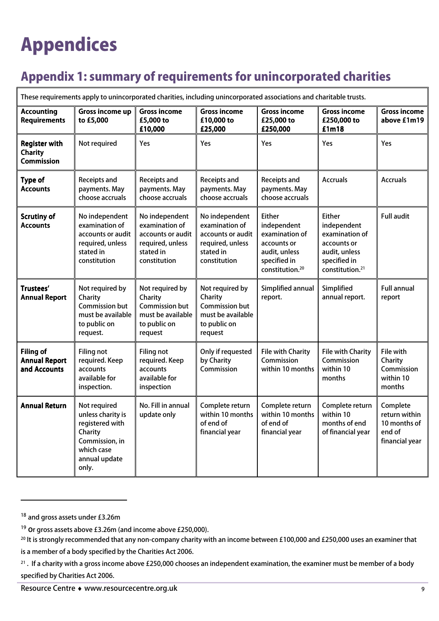# Appendices

### Appendix 1: summary of requirements for unincorporated charities

| These requirements apply to unincorporated charities, including unincorporated associations and charitable trusts. |                                                                                                                           |                                                                                                        |                                                                                                        |                                                                                                                               |                                                                                                                        |                                                                       |  |
|--------------------------------------------------------------------------------------------------------------------|---------------------------------------------------------------------------------------------------------------------------|--------------------------------------------------------------------------------------------------------|--------------------------------------------------------------------------------------------------------|-------------------------------------------------------------------------------------------------------------------------------|------------------------------------------------------------------------------------------------------------------------|-----------------------------------------------------------------------|--|
| <b>Accounting</b><br><b>Requirements</b>                                                                           | Gross income up<br>to £5,000                                                                                              | <b>Gross income</b><br>£5,000 to<br>£10,000                                                            | <b>Gross income</b><br>£10,000 to<br>£25,000                                                           | <b>Gross income</b><br>£25,000 to<br>£250,000                                                                                 | <b>Gross income</b><br>£250,000 to<br>£1m18                                                                            | <b>Gross income</b><br>above £1m19                                    |  |
| <b>Register with</b><br><b>Charity</b><br>Commission                                                               | Not required                                                                                                              | Yes                                                                                                    | Yes                                                                                                    | Yes                                                                                                                           | Yes                                                                                                                    | Yes                                                                   |  |
| <b>Type of</b><br><b>Accounts</b>                                                                                  | Receipts and<br>payments. May<br>choose accruals                                                                          | Receipts and<br>payments. May<br>choose accruals                                                       | Receipts and<br>payments. May<br>choose accruals                                                       | Receipts and<br>payments. May<br>choose accruals                                                                              | <b>Accruals</b>                                                                                                        | <b>Accruals</b>                                                       |  |
| <b>Scrutiny of</b><br><b>Accounts</b>                                                                              | No independent<br>examination of<br>accounts or audit<br>required, unless<br>stated in<br>constitution                    | No independent<br>examination of<br>accounts or audit<br>required, unless<br>stated in<br>constitution | No independent<br>examination of<br>accounts or audit<br>required, unless<br>stated in<br>constitution | <b>Either</b><br>independent<br>examination of<br>accounts or<br>audit, unless<br>specified in<br>constitution. <sup>20</sup> | Either<br>independent<br>examination of<br>accounts or<br>audit, unless<br>specified in<br>constitution. <sup>21</sup> | <b>Full audit</b>                                                     |  |
| Trustees'<br><b>Annual Report</b>                                                                                  | Not required by<br>Charity<br><b>Commission but</b><br>must be available<br>to public on<br>request.                      | Not required by<br>Charity<br><b>Commission but</b><br>must be available<br>to public on<br>request    | Not required by<br>Charity<br><b>Commission but</b><br>must be available<br>to public on<br>request    | Simplified annual<br>report.                                                                                                  | Simplified<br>annual report.                                                                                           | <b>Full annual</b><br>report                                          |  |
| <b>Filing of</b><br><b>Annual Report</b><br>and Accounts                                                           | <b>Filing not</b><br>required. Keep<br>accounts<br>available for<br>inspection.                                           | <b>Filing not</b><br>required. Keep<br>accounts<br>available for<br>inspection                         | Only if requested<br>by Charity<br>Commission                                                          | <b>File with Charity</b><br>Commission<br>within 10 months                                                                    | <b>File with Charity</b><br>Commission<br>within 10<br>months                                                          | File with<br>Charity<br>Commission<br>within 10<br>months             |  |
| <b>Annual Return</b>                                                                                               | Not required<br>unless charity is<br>registered with<br>Charity<br>Commission, in<br>which case<br>annual update<br>only. | No. Fill in annual<br>update only                                                                      | Complete return<br>within 10 months<br>of end of<br>financial year                                     | Complete return<br>within 10 months<br>of end of<br>financial year                                                            | Complete return<br>within 10<br>months of end<br>of financial year                                                     | Complete<br>return within<br>10 months of<br>end of<br>financial year |  |

 $\Box$ 

j

<sup>&</sup>lt;sup>18</sup> and gross assets under £3.26m

 $^{19}$  Or gross assets above £3.26m (and income above £250,000).

 $^{20}$  It is strongly recommended that any non-company charity with an income between £100,000 and £250,000 uses an examiner that is a member of a body specified by the Charities Act 2006.

 $^{21}$  . If a charity with a gross income above £250,000 chooses an independent examination, the examiner must be member of a body specified by Charities Act 2006.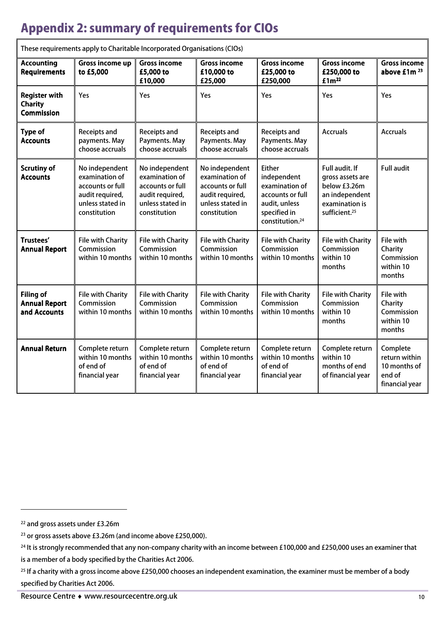### Appendix 2: summary of requirements for CIOs

|                                                             | rnese requirements apply to enamtable incorporated organisations (eros)                                     |                                                                                                             |                                                                                                             |                                                                                                                                    |                                                                                                                     |                                                                       |
|-------------------------------------------------------------|-------------------------------------------------------------------------------------------------------------|-------------------------------------------------------------------------------------------------------------|-------------------------------------------------------------------------------------------------------------|------------------------------------------------------------------------------------------------------------------------------------|---------------------------------------------------------------------------------------------------------------------|-----------------------------------------------------------------------|
| <b>Accounting</b><br><b>Requirements</b>                    | Gross income up<br>to £5,000                                                                                | <b>Gross income</b><br>£5,000 to<br>£10,000                                                                 | <b>Gross income</b><br>£10,000 to<br>£25,000                                                                | <b>Gross income</b><br>£25,000 to<br>£250,000                                                                                      | <b>Gross income</b><br>£250,000 to<br>£1m <sup>22</sup>                                                             | <b>Gross income</b><br>above £1m <sup>23</sup>                        |
| <b>Register with</b><br><b>Charity</b><br><b>Commission</b> | Yes                                                                                                         | Yes                                                                                                         | Yes                                                                                                         | Yes                                                                                                                                | Yes                                                                                                                 | Yes                                                                   |
| <b>Type of</b><br><b>Accounts</b>                           | Receipts and<br>payments. May<br>choose accruals                                                            | Receipts and<br>Payments. May<br>choose accruals                                                            | Receipts and<br>Payments. May<br>choose accruals                                                            | Receipts and<br>Payments. May<br>choose accruals                                                                                   | <b>Accruals</b>                                                                                                     | <b>Accruals</b>                                                       |
| <b>Scrutiny of</b><br><b>Accounts</b>                       | No independent<br>examination of<br>accounts or full<br>audit required,<br>unless stated in<br>constitution | No independent<br>examination of<br>accounts or full<br>audit required,<br>unless stated in<br>constitution | No independent<br>examination of<br>accounts or full<br>audit required,<br>unless stated in<br>constitution | <b>Either</b><br>independent<br>examination of<br>accounts or full<br>audit, unless<br>specified in<br>constitution. <sup>24</sup> | Full audit. If<br>gross assets are<br>below £3.26m<br>an independent<br>examination is<br>sufficient. <sup>25</sup> | <b>Full audit</b>                                                     |
| Trustees'<br><b>Annual Report</b>                           | <b>File with Charity</b><br>Commission<br>within 10 months                                                  | <b>File with Charity</b><br>Commission<br>within 10 months                                                  | <b>File with Charity</b><br>Commission<br>within 10 months                                                  | <b>File with Charity</b><br>Commission<br>within 10 months                                                                         | <b>File with Charity</b><br>Commission<br>within 10<br>months                                                       | File with<br>Charity<br>Commission<br>within 10<br>months             |
| <b>Filing of</b><br><b>Annual Report</b><br>and Accounts    | <b>File with Charity</b><br>Commission<br>within 10 months                                                  | <b>File with Charity</b><br>Commission<br>within 10 months                                                  | <b>File with Charity</b><br>Commission<br>within 10 months                                                  | <b>File with Charity</b><br>Commission<br>within 10 months                                                                         | <b>File with Charity</b><br>Commission<br>within 10<br>months                                                       | File with<br>Charity<br>Commission<br>within 10<br>months             |
| <b>Annual Return</b>                                        | Complete return<br>within 10 months<br>of end of<br>financial year                                          | Complete return<br>within 10 months<br>of end of<br>financial year                                          | Complete return<br>within 10 months<br>of end of<br>financial year                                          | Complete return<br>within 10 months<br>of end of<br>financial year                                                                 | Complete return<br>within 10<br>months of end<br>of financial year                                                  | Complete<br>return within<br>10 months of<br>end of<br>financial year |

These requirements apply to Charitable Incorporated Organisations (CIOs)

j

 <sup>22</sup> and gross assets under £3.26m

 $^{23}$  or gross assets above £3.26m (and income above £250,000).

 $^{24}$  It is strongly recommended that any non-company charity with an income between £100,000 and £250,000 uses an examiner that

 is a member of a body specified by the Charities Act 2006.

<sup>&</sup>lt;sup>25</sup> If a charity with a gross income above £250,000 chooses an independent examination, the examiner must be member of a body specified by Charities Act 2006.